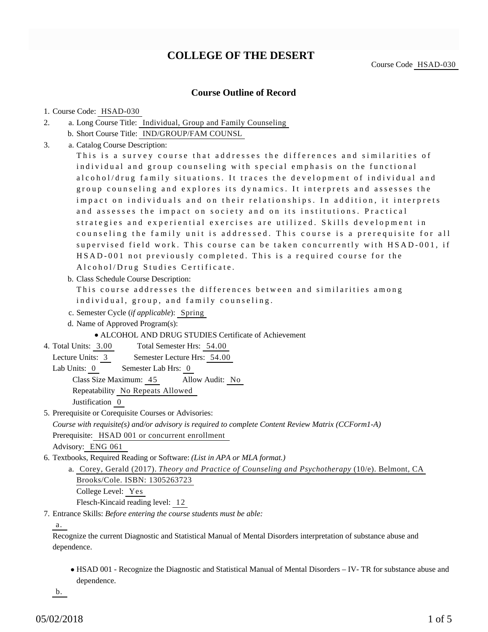# **COLLEGE OF THE DESERT**

Course Code HSAD-030

### **Course Outline of Record**

#### 1. Course Code: HSAD-030

- a. Long Course Title: Individual, Group and Family Counseling 2.
	- b. Short Course Title: IND/GROUP/FAM COUNSL
- Catalog Course Description: a. 3.

This is a survey course that addresses the differences and similarities of individual and group counseling with special emphasis on the functional alcohol/drug family situations. It traces the development of individual and group counseling and explores its dynamics. It interprets and assesses the impact on individuals and on their relationships. In addition, it interprets and assesses the impact on society and on its institutions. Practical strategies and experiential exercises are utilized. Skills development in counseling the family unit is addressed. This course is a prerequisite for all supervised field work. This course can be taken concurrently with HSAD-001, if HSAD-001 not previously completed. This is a required course for the Alcohol/Drug Studies Certificate.

b. Class Schedule Course Description:

This course addresses the differences between and similarities among individual, group, and family counseling.

- c. Semester Cycle (*if applicable*): Spring
- d. Name of Approved Program(s):

### ALCOHOL AND DRUG STUDIES Certificate of Achievement

Total Semester Hrs: 54.00 4. Total Units: 3.00

Lecture Units: 3 Semester Lecture Hrs: 54.00

- Lab Units: 0 Semester Lab Hrs: 0 Class Size Maximum: 45 Allow Audit: No Repeatability No Repeats Allowed Justification 0
- 5. Prerequisite or Corequisite Courses or Advisories:

*Course with requisite(s) and/or advisory is required to complete Content Review Matrix (CCForm1-A)*

Prerequisite: HSAD 001 or concurrent enrollment

Advisory: ENG 061

- 6. Textbooks, Required Reading or Software: (List in APA or MLA format.)
	- a. Corey, Gerald (2017). *Theory and Practice of Counseling and Psychotherapy* (10/e). Belmont, CA Brooks/Cole. ISBN: 1305263723 College Level: Yes

Flesch-Kincaid reading level: 12

Entrance Skills: *Before entering the course students must be able:* 7.

a.

Recognize the current Diagnostic and Statistical Manual of Mental Disorders interpretation of substance abuse and dependence.

HSAD 001 - Recognize the Diagnostic and Statistical Manual of Mental Disorders – IV- TR for substance abuse and dependence.

b.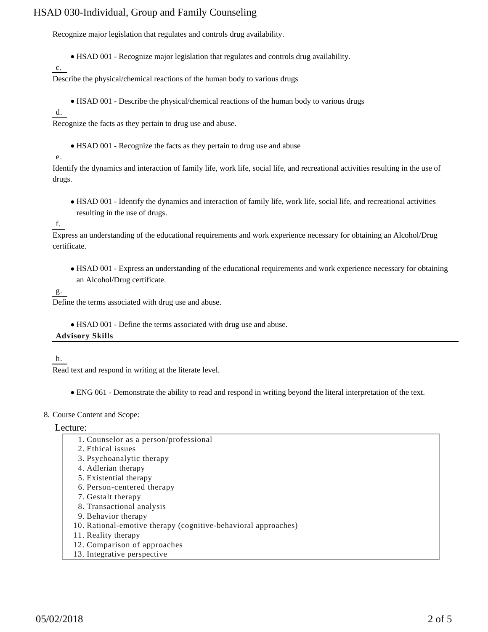Recognize major legislation that regulates and controls drug availability.

HSAD 001 - Recognize major legislation that regulates and controls drug availability.

c.

Describe the physical/chemical reactions of the human body to various drugs

HSAD 001 - Describe the physical/chemical reactions of the human body to various drugs

d.

Recognize the facts as they pertain to drug use and abuse.

HSAD 001 - Recognize the facts as they pertain to drug use and abuse

#### e.

Identify the dynamics and interaction of family life, work life, social life, and recreational activities resulting in the use of drugs.

HSAD 001 - Identify the dynamics and interaction of family life, work life, social life, and recreational activities resulting in the use of drugs.

### f.

Express an understanding of the educational requirements and work experience necessary for obtaining an Alcohol/Drug certificate.

HSAD 001 - Express an understanding of the educational requirements and work experience necessary for obtaining an Alcohol/Drug certificate.

### g.

Define the terms associated with drug use and abuse.

HSAD 001 - Define the terms associated with drug use and abuse.

#### **Advisory Skills**

h.

Read text and respond in writing at the literate level.

ENG 061 - Demonstrate the ability to read and respond in writing beyond the literal interpretation of the text.

#### 8. Course Content and Scope:

Lecture:

- 1. Counselor as a person/professional
- 2. Ethical issues
- 3. Psychoanalytic therapy
- 4. Adlerian therapy
- 5. Existential therapy
- 6. Person-centered therapy
- 7. Gestalt therapy
- 8. Transactional analysis
- 9. Behavior therapy
- 10. Rational-emotive therapy (cognitive-behavioral approaches)
- 11. Reality therapy
- 12. Comparison of approaches
- 13. Integrative perspective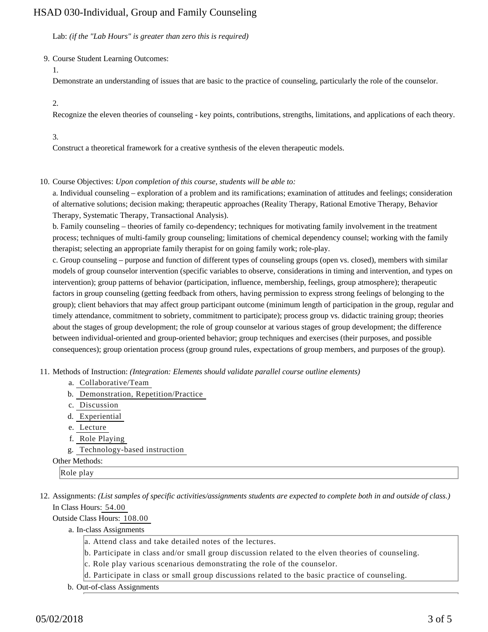Lab: *(if the "Lab Hours" is greater than zero this is required)*

9. Course Student Learning Outcomes:

1.

Demonstrate an understanding of issues that are basic to the practice of counseling, particularly the role of the counselor.

 $2<sup>2</sup>$ 

Recognize the eleven theories of counseling - key points, contributions, strengths, limitations, and applications of each theory.

#### 3.

Construct a theoretical framework for a creative synthesis of the eleven therapeutic models.

10. Course Objectives: Upon completion of this course, students will be able to:

a. Individual counseling – exploration of a problem and its ramifications; examination of attitudes and feelings; consideration of alternative solutions; decision making; therapeutic approaches (Reality Therapy, Rational Emotive Therapy, Behavior Therapy, Systematic Therapy, Transactional Analysis).

b. Family counseling – theories of family co-dependency; techniques for motivating family involvement in the treatment process; techniques of multi-family group counseling; limitations of chemical dependency counsel; working with the family therapist; selecting an appropriate family therapist for on going family work; role-play.

c. Group counseling – purpose and function of different types of counseling groups (open vs. closed), members with similar models of group counselor intervention (specific variables to observe, considerations in timing and intervention, and types on intervention); group patterns of behavior (participation, influence, membership, feelings, group atmosphere); therapeutic factors in group counseling (getting feedback from others, having permission to express strong feelings of belonging to the group); client behaviors that may affect group participant outcome (minimum length of participation in the group, regular and timely attendance, commitment to sobriety, commitment to participate); process group vs. didactic training group; theories about the stages of group development; the role of group counselor at various stages of group development; the difference between individual-oriented and group-oriented behavior; group techniques and exercises (their purposes, and possible consequences); group orientation process (group ground rules, expectations of group members, and purposes of the group).

- 11. Methods of Instruction: *(Integration: Elements should validate parallel course outline elements)* 
	- a. Collaborative/Team
	- b. Demonstration, Repetition/Practice
	- c. Discussion
	- d. Experiential
	- e. Lecture
	- f. Role Playing
	- g. Technology-based instruction

#### Other Methods:

Role play

12. Assignments: (List samples of specific activities/assignments students are expected to complete both in and outside of class.) In Class Hours: 54.00

Outside Class Hours: 108.00

a. In-class Assignments

- a. Attend class and take detailed notes of the lectures.
- b. Participate in class and/or small group discussion related to the elven theories of counseling.
- c. Role play various scenarious demonstrating the role of the counselor.
- d. Participate in class or small group discussions related to the basic practice of counseling.
- b. Out-of-class Assignments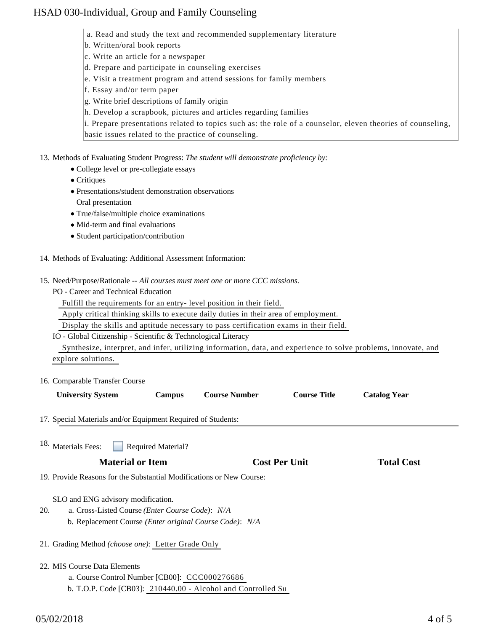- a. Read and study the text and recommended supplementary literature
- b. Written/oral book reports
- c. Write an article for a newspaper
- d. Prepare and participate in counseling exercises
- e. Visit a treatment program and attend sessions for family members
- f. Essay and/or term paper
- g. Write brief descriptions of family origin
- h. Develop a scrapbook, pictures and articles regarding families

i. Prepare presentations related to topics such as: the role of a counselor, eleven theories of counseling, basic issues related to the practice of counseling.

- 13. Methods of Evaluating Student Progress: The student will demonstrate proficiency by:
	- College level or pre-collegiate essays
	- Critiques
	- Presentations/student demonstration observations Oral presentation
	- True/false/multiple choice examinations
	- Mid-term and final evaluations
	- Student participation/contribution
- 14. Methods of Evaluating: Additional Assessment Information:
- 15. Need/Purpose/Rationale -- All courses must meet one or more CCC missions.
	- PO Career and Technical Education
		- Fulfill the requirements for an entry- level position in their field.

Apply critical thinking skills to execute daily duties in their area of employment.

Display the skills and aptitude necessary to pass certification exams in their field.

#### IO - Global Citizenship - Scientific & Technological Literacy

 Synthesize, interpret, and infer, utilizing information, data, and experience to solve problems, innovate, and explore solutions.

#### 16. Comparable Transfer Course

| TO. COMparable Transfer Course                                          |                    |                                                              |                      |                     |
|-------------------------------------------------------------------------|--------------------|--------------------------------------------------------------|----------------------|---------------------|
| <b>University System</b>                                                | <b>Campus</b>      | <b>Course Number</b>                                         | <b>Course Title</b>  | <b>Catalog Year</b> |
| 17. Special Materials and/or Equipment Required of Students:            |                    |                                                              |                      |                     |
| 18. Materials Fees:                                                     | Required Material? |                                                              |                      |                     |
| <b>Material or Item</b>                                                 |                    |                                                              | <b>Cost Per Unit</b> | <b>Total Cost</b>   |
| 19. Provide Reasons for the Substantial Modifications or New Course:    |                    |                                                              |                      |                     |
| SLO and ENG advisory modification.                                      |                    |                                                              |                      |                     |
| a. Cross-Listed Course (Enter Course Code): N/A<br>20.                  |                    |                                                              |                      |                     |
| b. Replacement Course ( <i>Enter original Course Code</i> ): <i>N/A</i> |                    |                                                              |                      |                     |
| 21. Grading Method (choose one): Letter Grade Only                      |                    |                                                              |                      |                     |
| 22. MIS Course Data Elements                                            |                    |                                                              |                      |                     |
| a. Course Control Number [CB00]: CCC000276686                           |                    |                                                              |                      |                     |
|                                                                         |                    | b. T.O.P. Code [CB03]: 210440.00 - Alcohol and Controlled Su |                      |                     |
|                                                                         |                    |                                                              |                      |                     |